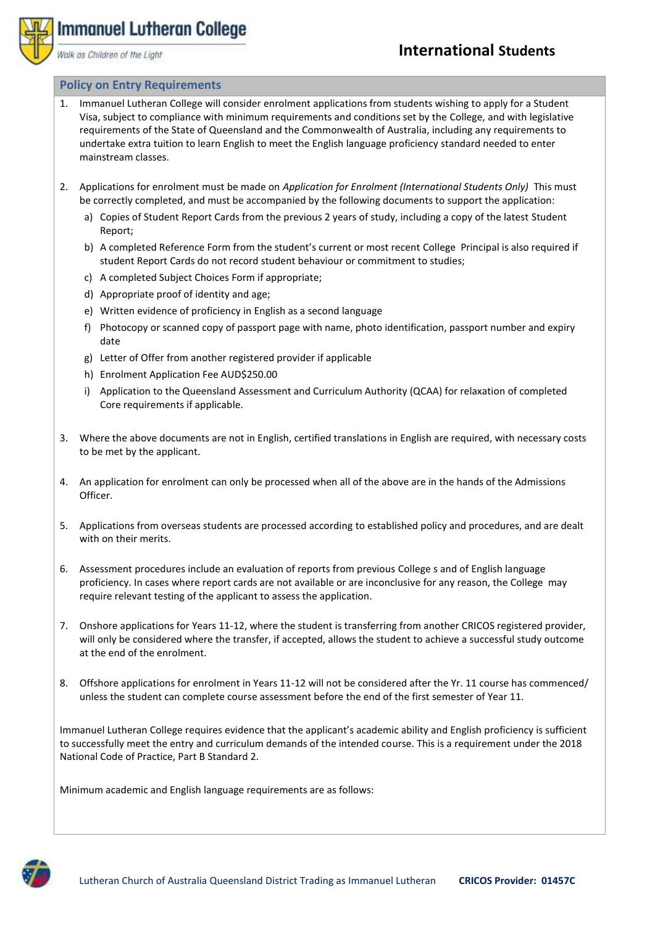

## **International Students**

## **Policy on Entry Requirements**

Walk as Children of the Light

Immanuel Lutheran College

- 1. Immanuel Lutheran College will consider enrolment applications from students wishing to apply for a Student Visa, subject to compliance with minimum requirements and conditions set by the College, and with legislative requirements of the State of Queensland and the Commonwealth of Australia, including any requirements to undertake extra tuition to learn English to meet the English language proficiency standard needed to enter mainstream classes.
- 2. Applications for enrolment must be made on *Application for Enrolment (International Students Only)* This must be correctly completed, and must be accompanied by the following documents to support the application:
	- a) Copies of Student Report Cards from the previous 2 years of study, including a copy of the latest Student Report;
	- b) A completed Reference Form from the student's current or most recent College Principal is also required if student Report Cards do not record student behaviour or commitment to studies;
	- c) A completed Subject Choices Form if appropriate;
	- d) Appropriate proof of identity and age;
	- e) Written evidence of proficiency in English as a second language
	- f) Photocopy or scanned copy of passport page with name, photo identification, passport number and expiry date
	- g) Letter of Offer from another registered provider if applicable
	- h) Enrolment Application Fee AUD\$250.00
	- i) Application to the Queensland Assessment and Curriculum Authority (QCAA) for relaxation of completed Core requirements if applicable.
- 3. Where the above documents are not in English, certified translations in English are required, with necessary costs to be met by the applicant.
- 4. An application for enrolment can only be processed when all of the above are in the hands of the Admissions Officer.
- 5. Applications from overseas students are processed according to established policy and procedures, and are dealt with on their merits.
- 6. Assessment procedures include an evaluation of reports from previous College s and of English language proficiency. In cases where report cards are not available or are inconclusive for any reason, the College may require relevant testing of the applicant to assess the application.
- 7. Onshore applications for Years 11-12, where the student is transferring from another CRICOS registered provider, will only be considered where the transfer, if accepted, allows the student to achieve a successful study outcome at the end of the enrolment.
- 8. Offshore applications for enrolment in Years 11-12 will not be considered after the Yr. 11 course has commenced/ unless the student can complete course assessment before the end of the first semester of Year 11.

Immanuel Lutheran College requires evidence that the applicant's academic ability and English proficiency is sufficient to successfully meet the entry and curriculum demands of the intended course. This is a requirement under the 2018 National Code of Practice, Part B Standard 2.

Minimum academic and English language requirements are as follows: